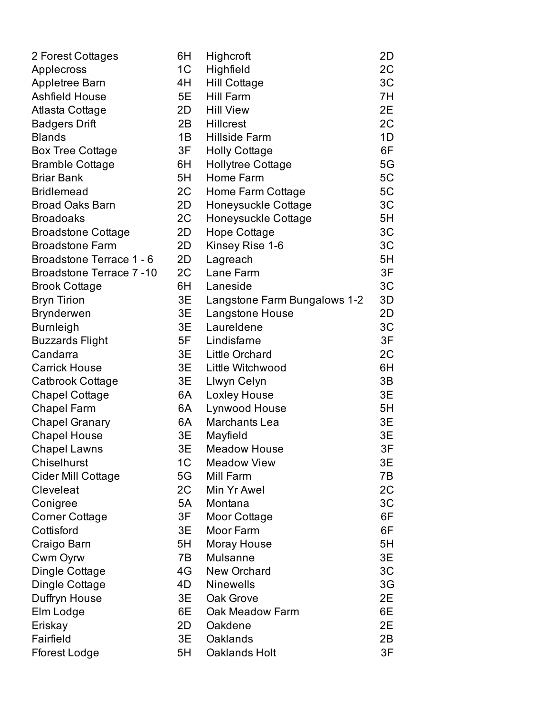| 2 Forest Cottages               | 6H             | Highcroft                    | 2D |
|---------------------------------|----------------|------------------------------|----|
| Applecross                      | 1 <sup>C</sup> | Highfield                    | 2C |
| Appletree Barn                  | 4H             | <b>Hill Cottage</b>          | 3C |
| <b>Ashfield House</b>           | 5E             | <b>Hill Farm</b>             | 7H |
| Atlasta Cottage                 | 2D             | <b>Hill View</b>             | 2E |
| <b>Badgers Drift</b>            | 2B             | <b>Hillcrest</b>             | 2C |
| <b>Blands</b>                   | 1B             | <b>Hillside Farm</b>         | 1D |
| <b>Box Tree Cottage</b>         | 3F             | <b>Holly Cottage</b>         | 6F |
| <b>Bramble Cottage</b>          | 6H             | Hollytree Cottage            | 5G |
| <b>Briar Bank</b>               | 5H             | Home Farm                    | 5C |
| <b>Bridlemead</b>               | 2C             | Home Farm Cottage            | 5C |
| <b>Broad Oaks Barn</b>          | 2D             | Honeysuckle Cottage          | 3C |
| <b>Broadoaks</b>                | 2C             | Honeysuckle Cottage          | 5H |
| <b>Broadstone Cottage</b>       | 2D             | Hope Cottage                 | 3C |
| <b>Broadstone Farm</b>          | 2D             | Kinsey Rise 1-6              | 3C |
| Broadstone Terrace 1 - 6        | 2D             | Lagreach                     | 5H |
| <b>Broadstone Terrace 7 -10</b> | 2C             | Lane Farm                    | 3F |
| <b>Brook Cottage</b>            | 6H             | Laneside                     | 3C |
| <b>Bryn Tirion</b>              | 3E             | Langstone Farm Bungalows 1-2 | 3D |
| <b>Brynderwen</b>               | 3E             | Langstone House              | 2D |
| <b>Burnleigh</b>                | 3E             | Laureldene                   | 3C |
| <b>Buzzards Flight</b>          | 5F             | Lindisfarne                  | 3F |
| Candarra                        | 3E             | <b>Little Orchard</b>        | 2C |
| <b>Carrick House</b>            | 3E             | Little Witchwood             | 6H |
| Catbrook Cottage                | 3E             | Llwyn Celyn                  | 3B |
| <b>Chapel Cottage</b>           | 6A             | <b>Loxley House</b>          | 3E |
| <b>Chapel Farm</b>              | 6A             | Lynwood House                | 5H |
| <b>Chapel Granary</b>           | 6A             | Marchants Lea                | 3E |
| <b>Chapel House</b>             | 3E             | Mayfield                     | 3E |
| <b>Chapel Lawns</b>             | 3E             | <b>Meadow House</b>          | 3F |
| <b>Chiselhurst</b>              | 1 <sub>C</sub> | <b>Meadow View</b>           | 3E |
| Cider Mill Cottage              | 5G             | Mill Farm                    | 7B |
| Cleveleat                       | 2C             | Min Yr Awel                  | 2C |
| Conigree                        | 5A             | Montana                      | 3C |
| <b>Corner Cottage</b>           | 3F             | Moor Cottage                 | 6F |
| Cottisford                      | 3E             | Moor Farm                    | 6F |
| Craigo Barn                     | 5H             | Moray House                  | 5H |
| Cwm Oyrw                        | 7B             | <b>Mulsanne</b>              | 3E |
| Dingle Cottage                  | 4G             | <b>New Orchard</b>           | 3C |
| Dingle Cottage                  | 4D             | <b>Ninewells</b>             | 3G |
| Duffryn House                   | 3E             | Oak Grove                    | 2E |
| Elm Lodge                       | 6E             | Oak Meadow Farm              | 6E |
| Eriskay                         | 2D             | Oakdene                      | 2E |
| Fairfield                       | 3E             | Oaklands                     | 2B |
| Fforest Lodge                   | 5H             | Oaklands Holt                | 3F |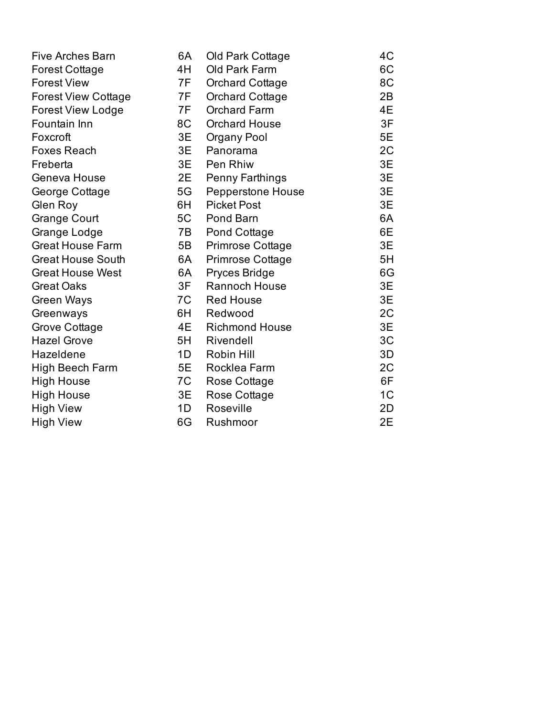| <b>Five Arches Barn</b>    | 6A | Old Park Cottage         | 4C             |
|----------------------------|----|--------------------------|----------------|
| <b>Forest Cottage</b>      | 4H | Old Park Farm            | 6C             |
| <b>Forest View</b>         | 7F | <b>Orchard Cottage</b>   | 8C             |
| <b>Forest View Cottage</b> | 7F | <b>Orchard Cottage</b>   | 2B             |
| <b>Forest View Lodge</b>   | 7F | <b>Orchard Farm</b>      | 4E             |
| Fountain Inn               | 8C | <b>Orchard House</b>     | 3F             |
| Foxcroft                   | 3E | Organy Pool              | 5E             |
| <b>Foxes Reach</b>         | 3E | Panorama                 | 2C             |
| Freberta                   | 3E | Pen Rhiw                 | 3E             |
| Geneva House               | 2E | <b>Penny Farthings</b>   | 3E             |
| George Cottage             | 5G | <b>Pepperstone House</b> | 3E             |
| Glen Roy                   | 6H | <b>Picket Post</b>       | 3E             |
| <b>Grange Court</b>        | 5C | Pond Barn                | 6A             |
| Grange Lodge               | 7B | Pond Cottage             | 6E             |
| <b>Great House Farm</b>    | 5B | <b>Primrose Cottage</b>  | 3E             |
| <b>Great House South</b>   | 6A | <b>Primrose Cottage</b>  | 5H             |
| <b>Great House West</b>    | 6A | Pryces Bridge            | 6G             |
| <b>Great Oaks</b>          | 3F | Rannoch House            | 3E             |
| Green Ways                 | 7C | <b>Red House</b>         | 3E             |
| Greenways                  | 6H | Redwood                  | 2C             |
| Grove Cottage              | 4E | <b>Richmond House</b>    | 3E             |
| <b>Hazel Grove</b>         | 5H | Rivendell                | 3C             |
| Hazeldene                  | 1D | Robin Hill               | 3D             |
| <b>High Beech Farm</b>     | 5E | Rocklea Farm             | 2C             |
| <b>High House</b>          | 7C | Rose Cottage             | 6F             |
| <b>High House</b>          | 3E | Rose Cottage             | 1 <sup>C</sup> |
| <b>High View</b>           | 1D | Roseville                | 2D             |
| <b>High View</b>           | 6G | Rushmoor                 | 2E             |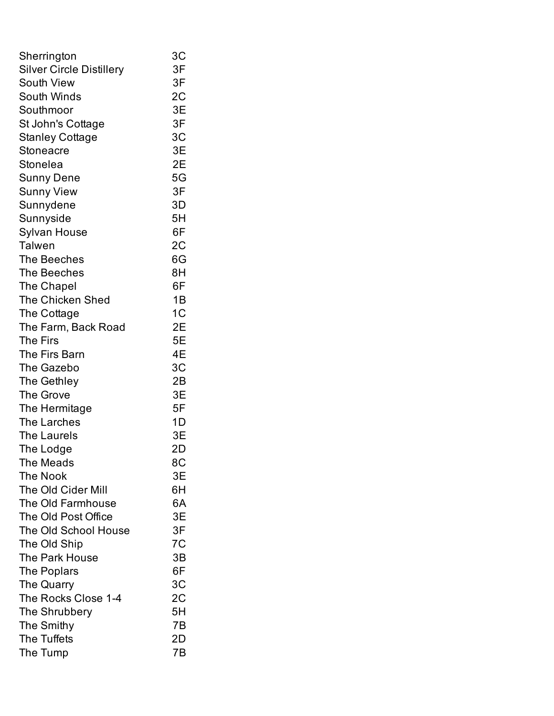| Sherrington                     | 3C             |
|---------------------------------|----------------|
| <b>Silver Circle Distillery</b> | 3F             |
| South View                      | 3F             |
| South Winds                     | 2C             |
| Southmoor                       | 3E             |
| St John's Cottage               | 3F             |
| <b>Stanley Cottage</b>          | 3C             |
| Stoneacre                       | 3E             |
| Stonelea                        | 2E             |
| Sunny Dene                      | 5G             |
| <b>Sunny View</b>               | 3F             |
| Sunnydene                       | 3D             |
| Sunnyside                       | 5H             |
| <b>Sylvan House</b>             | 6F             |
| <b>Talwen</b>                   | 2C             |
| The Beeches                     | 6G             |
| The Beeches                     | 8H             |
| The Chapel                      | 6F             |
| <b>The Chicken Shed</b>         | 1B             |
| The Cottage                     | 1 <sub>C</sub> |
| The Farm, Back Road             | 2E             |
| The Firs                        | 5E             |
| The Firs Barn                   | 4Ε             |
| The Gazebo                      | 3C             |
| The Gethley                     | 2B             |
| The Grove                       | 3E             |
| The Hermitage                   | 5F             |
| The Larches                     | 1D             |
| The Laurels                     | 3E             |
| The Lodge                       | 2D             |
| The Meads                       | 8C             |
| <b>The Nook</b>                 | 3E             |
| The Old Cider Mill              | 6H             |
| The Old Farmhouse               | 6A             |
| The Old Post Office             | 3E             |
| The Old School House            | 3F             |
| The Old Ship                    | 7C             |
| The Park House                  | 3B             |
| The Poplars                     | 6F             |
| The Quarry                      | 3 <sub>C</sub> |
| The Rocks Close 1-4             | 2C             |
| The Shrubbery                   | 5H             |
| The Smithy                      | 7Β             |
| The Tuffets                     | 2D             |
| The Tump                        | 7B             |
|                                 |                |